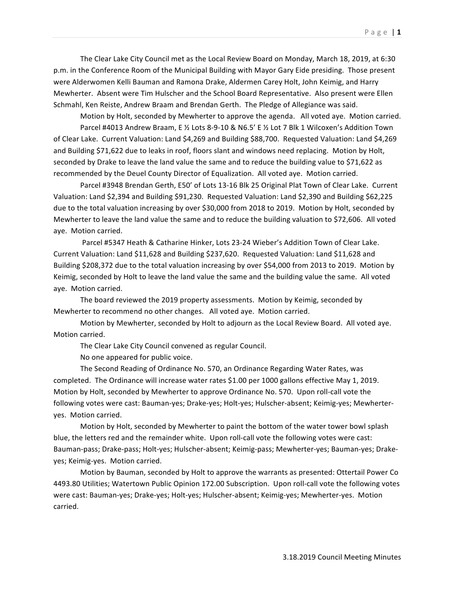The Clear Lake City Council met as the Local Review Board on Monday, March 18, 2019, at 6:30 p.m. in the Conference Room of the Municipal Building with Mayor Gary Eide presiding. Those present were Alderwomen Kelli Bauman and Ramona Drake, Aldermen Carey Holt, John Keimig, and Harry Mewherter. Absent were Tim Hulscher and the School Board Representative. Also present were Ellen Schmahl, Ken Reiste, Andrew Braam and Brendan Gerth. The Pledge of Allegiance was said.

Motion by Holt, seconded by Mewherter to approve the agenda. All voted aye. Motion carried. Parcel #4013 Andrew Braam, E 1/2 Lots 8-9-10 & N6.5' E 1/2 Lot 7 Blk 1 Wilcoxen's Addition Town of Clear Lake. Current Valuation: Land \$4,269 and Building \$88,700. Requested Valuation: Land \$4,269 and Building \$71,622 due to leaks in roof, floors slant and windows need replacing. Motion by Holt, seconded by Drake to leave the land value the same and to reduce the building value to \$71,622 as recommended by the Deuel County Director of Equalization. All voted aye. Motion carried.

Parcel #3948 Brendan Gerth, E50' of Lots 13-16 Blk 25 Original Plat Town of Clear Lake. Current Valuation: Land \$2,394 and Building \$91,230. Requested Valuation: Land \$2,390 and Building \$62,225 due to the total valuation increasing by over \$30,000 from 2018 to 2019. Motion by Holt, seconded by Mewherter to leave the land value the same and to reduce the building valuation to \$72,606. All voted aye. Motion carried.

Parcel #5347 Heath & Catharine Hinker, Lots 23-24 Wieber's Addition Town of Clear Lake. Current Valuation: Land \$11,628 and Building \$237,620. Requested Valuation: Land \$11,628 and Building \$208,372 due to the total valuation increasing by over \$54,000 from 2013 to 2019. Motion by Keimig, seconded by Holt to leave the land value the same and the building value the same. All voted aye. Motion carried.

The board reviewed the 2019 property assessments. Motion by Keimig, seconded by Mewherter to recommend no other changes. All voted aye. Motion carried.

Motion by Mewherter, seconded by Holt to adjourn as the Local Review Board. All voted aye. Motion carried.

The Clear Lake City Council convened as regular Council.

No one appeared for public voice.

The Second Reading of Ordinance No. 570, an Ordinance Regarding Water Rates, was completed. The Ordinance will increase water rates \$1.00 per 1000 gallons effective May 1, 2019. Motion by Holt, seconded by Mewherter to approve Ordinance No. 570. Upon roll-call vote the following votes were cast: Bauman-yes; Drake-yes; Holt-yes; Hulscher-absent; Keimig-yes; Mewherteryes. Motion carried.

Motion by Holt, seconded by Mewherter to paint the bottom of the water tower bowl splash blue, the letters red and the remainder white. Upon roll-call vote the following votes were cast: Bauman-pass; Drake-pass; Holt-yes; Hulscher-absent; Keimig-pass; Mewherter-yes; Bauman-yes; Drakeyes; Keimig-yes. Motion carried.

Motion by Bauman, seconded by Holt to approve the warrants as presented: Ottertail Power Co 4493.80 Utilities; Watertown Public Opinion 172.00 Subscription. Upon roll-call vote the following votes were cast: Bauman-yes; Drake-yes; Holt-yes; Hulscher-absent; Keimig-yes; Mewherter-yes. Motion carried.